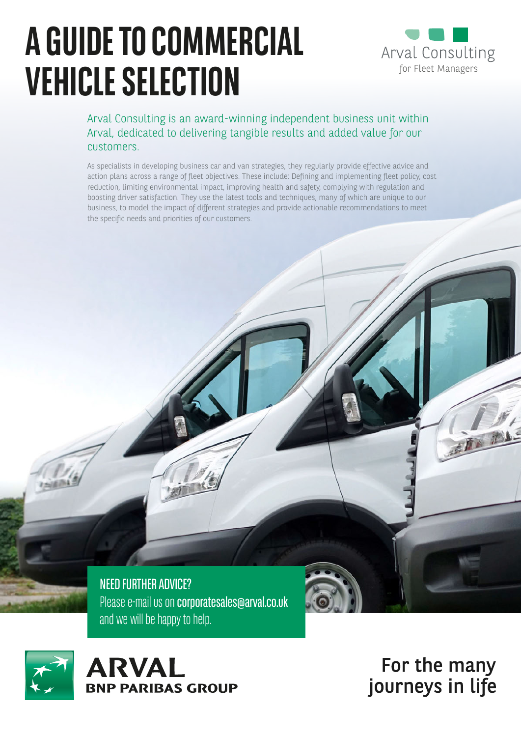# **A GUIDE TO COMMERCIAL WEHICLE SELECTION VEHICLE SELECTION**



Arval Consulting is an award-winning independent business unit within Arval, dedicated to delivering tangible results and added value for our customers.

As specialists in developing business car and van strategies, they regularly provide effective advice and action plans across a range of fleet objectives. These include: Defining and implementing fleet policy, cost reduction, limiting environmental impact, improving health and safety, complying with regulation and boosting driver satisfaction. They use the latest tools and techniques, many of which are unique to our business, to model the impact of different strategies and provide actionable recommendations to meet the specific needs and priorities of our customers.

NEED FURTHER ADVICE? Please e-mail us on corporatesales@arval.co.uk and we will be happy to help.



For the many journeys in life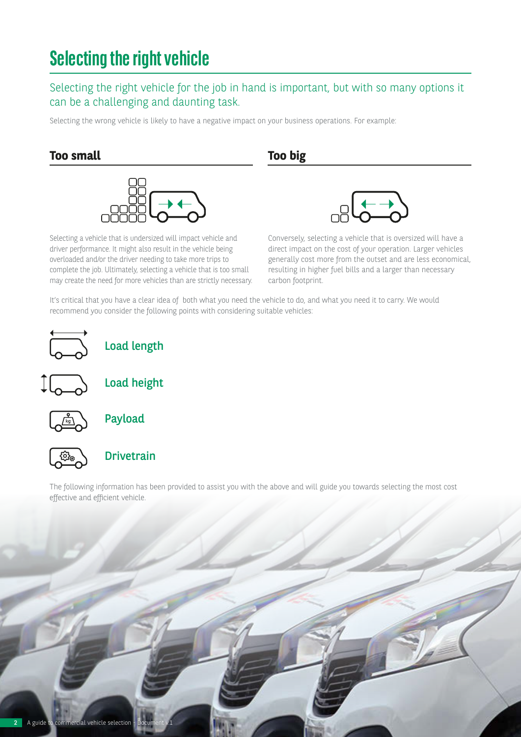## **Selecting the right vehicle**

#### Selecting the right vehicle for the job in hand is important, but with so many options it can be a challenging and daunting task.

Selecting the wrong vehicle is likely to have a negative impact on your business operations. For example:

#### **Too small Too big**



Selecting a vehicle that is undersized will impact vehicle and driver performance. It might also result in the vehicle being overloaded and/or the driver needing to take more trips to complete the job. Ultimately, selecting a vehicle that is too small may create the need for more vehicles than are strictly necessary.



Conversely, selecting a vehicle that is oversized will have a direct impact on the cost of your operation. Larger vehicles generally cost more from the outset and are less economical, resulting in higher fuel bills and a larger than necessary carbon footprint.

It's critical that you have a clear idea of both what you need the vehicle to do, and what you need it to carry. We would recommend you consider the following points with considering suitable vehicles:



Load length



Load height



Payload



#### Drivetrain

The following information has been provided to assist you with the above and will guide you towards selecting the most cost effective and efficient vehicle.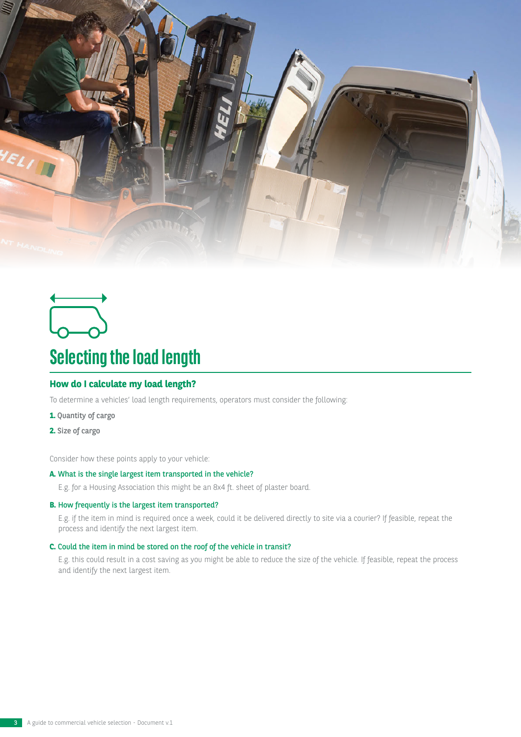



## **Selecting the load length**

#### **How do I calculate my load length?**

To determine a vehicles' load length requirements, operators must consider the following:

- **1.** Quantity of cargo
- **2.** Size of cargo

Consider how these points apply to your vehicle:

#### **A.** What is the single largest item transported in the vehicle?

E.g. for a Housing Association this might be an 8x4 ft. sheet of plaster board.

#### **B.** How frequently is the largest item transported?

E.g. if the item in mind is required once a week, could it be delivered directly to site via a courier? If feasible, repeat the process and identify the next largest item.

#### **C.** Could the item in mind be stored on the roof of the vehicle in transit?

E.g. this could result in a cost saving as you might be able to reduce the size of the vehicle. If feasible, repeat the process and identify the next largest item.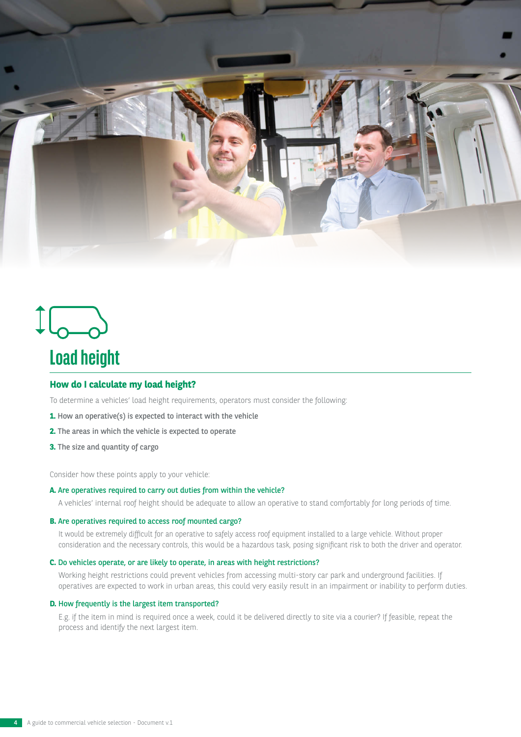

## $\mathcal{L}_{\mathbf{0}-\mathbf{0}}$ **Load height**

#### **How do I calculate my load height?**

To determine a vehicles' load height requirements, operators must consider the following:

- **1.** How an operative(s) is expected to interact with the vehicle
- **2.** The areas in which the vehicle is expected to operate
- **3.** The size and quantity of cargo

Consider how these points apply to your vehicle:

#### **A.** Are operatives required to carry out duties from within the vehicle?

A vehicles' internal roof height should be adequate to allow an operative to stand comfortably for long periods of time.

#### **B.** Are operatives required to access roof mounted cargo?

It would be extremely difficult for an operative to safely access roof equipment installed to a large vehicle. Without proper consideration and the necessary controls, this would be a hazardous task, posing significant risk to both the driver and operator.

#### **C.** Do vehicles operate, or are likely to operate, in areas with height restrictions?

Working height restrictions could prevent vehicles from accessing multi-story car park and underground facilities. If operatives are expected to work in urban areas, this could very easily result in an impairment or inability to perform duties.

#### **D.** How frequently is the largest item transported?

E.g. if the item in mind is required once a week, could it be delivered directly to site via a courier? If feasible, repeat the process and identify the next largest item.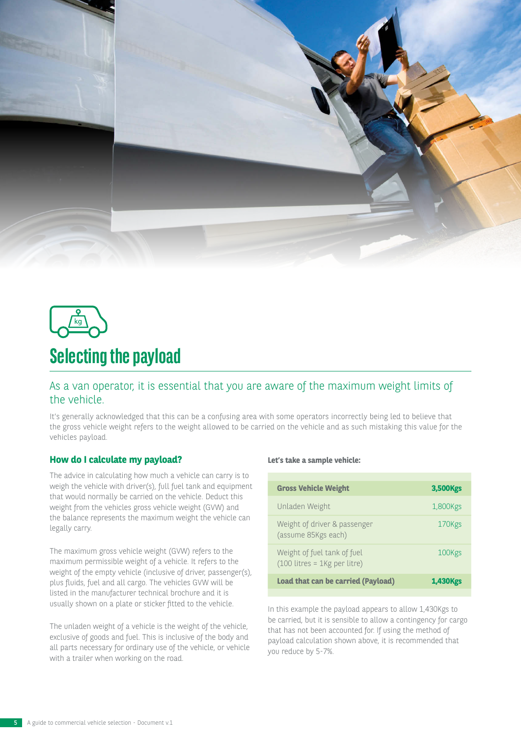



### **Selecting the payload**

#### As a van operator, it is essential that you are aware of the maximum weight limits of the vehicle.

It's generally acknowledged that this can be a confusing area with some operators incorrectly being led to believe that the gross vehicle weight refers to the weight allowed to be carried on the vehicle and as such mistaking this value for the vehicles payload.

#### **How do I calculate my payload?**

The advice in calculating how much a vehicle can carry is to weigh the vehicle with driver(s), full fuel tank and equipment that would normally be carried on the vehicle. Deduct this weight from the vehicles gross vehicle weight (GVW) and the balance represents the maximum weight the vehicle can legally carry.

The maximum gross vehicle weight (GVW) refers to the maximum permissible weight of a vehicle. It refers to the weight of the empty vehicle (inclusive of driver, passenger(s), plus fluids, fuel and all cargo. The vehicles GVW will be listed in the manufacturer technical brochure and it is usually shown on a plate or sticker fitted to the vehicle.

The unladen weight of a vehicle is the weight of the vehicle, exclusive of goods and fuel. This is inclusive of the body and all parts necessary for ordinary use of the vehicle, or vehicle with a trailer when working on the road.

#### **Let's take a sample vehicle:**

| <b>Gross Vehicle Weight</b>                                   | 3,500 <sub>Kgs</sub> |
|---------------------------------------------------------------|----------------------|
| Unladen Weight                                                | 1,800 Kgs            |
| Weight of driver & passenger<br>(assume 85 Kgs each)          | 170Kgs               |
| Weight of fuel tank of fuel<br>$(100$ litres = 1Kg per litre) | 100Kgs               |
| Load that can be carried (Payload)                            | <b>1,430Kgs</b>      |

In this example the payload appears to allow 1,430Kgs to be carried, but it is sensible to allow a contingency for cargo that has not been accounted for. If using the method of payload calculation shown above, it is recommended that you reduce by 5-7%.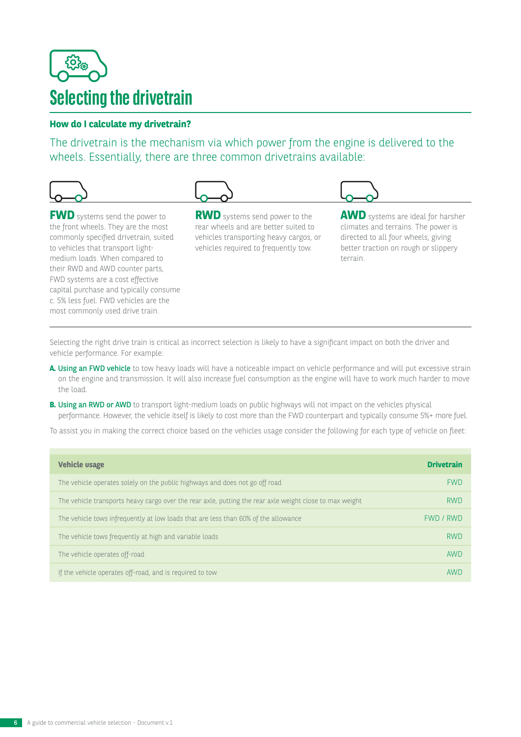

#### **How do I calculate my drivetrain?**

The drivetrain is the mechanism via which power from the engine is delivered to the wheels. Essentially, there are three common drivetrains available:



the front wheels. They are the most commonly specified drivetrain, suited to vehicles that transport lightmedium loads. When compared to their RWD and AWD counter parts, FWD systems are a cost effective capital purchase and typically consume c. 5% less fuel. FWD vehicles are the most commonly used drive train.

rear wheels and are better suited to vehicles transporting heavy cargos, or vehicles required to frequently tow.

**AWD** systems are ideal for harsher climates and terrains. The power is directed to all four wheels, giving better traction on rough or slippery terrain.

Selecting the right drive train is critical as incorrect selection is likely to have a significant impact on both the driver and vehicle performance. For example:

- A. Using an FWD vehicle to tow heavy loads will have a noticeable impact on vehicle performance and will put excessive strain on the engine and transmission. It will also increase fuel consumption as the engine will have to work much harder to move the load.
- **B.** Using an RWD or AWD to transport light-medium loads on public highways will not impact on the vehicles physical performance. However, the vehicle itself is likely to cost more than the FWD counterpart and typically consume 5%+ more fuel.

To assist you in making the correct choice based on the vehicles usage consider the following for each type of vehicle on fleet:

| <b>Vehicle usage</b>                                                                                    | <b>Drivetrain</b> |
|---------------------------------------------------------------------------------------------------------|-------------------|
| The vehicle operates solely on the public highways and does not go off road                             | <b>FWD</b>        |
| The vehicle transports heavy cargo over the rear axle, putting the rear axle weight close to max weight | <b>RWD</b>        |
| The vehicle tows infrequently at low loads that are less than 60% of the allowance                      | FWD / RWD         |
| The vehicle tows frequently at high and variable loads                                                  | <b>RWD</b>        |
| The vehicle operates off-road                                                                           | AWD               |
| If the vehicle operates off-road, and is required to tow                                                | AWD               |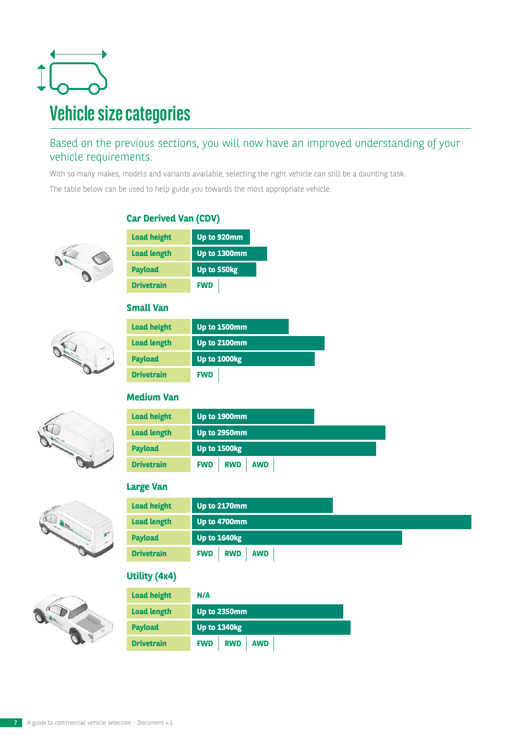

#### Based on the previous sections, you will now have an improved understanding of your vehicle requirements.

With so many makes, models and variants available, selecting the right vehicle can still be a daunting task.

The table below can be used to help guide you towards the most appropriate vehicle.



#### **Car Derived Van (CDV)**

| <b>Load height</b> | Up to 920mm  |
|--------------------|--------------|
| <b>Load length</b> | Up to 1300mm |
| <b>Payload</b>     | Up to 550kg  |
| <b>Drivetrain</b>  | <b>FWD</b>   |

#### **Small Van**

| <b>Load height</b> | Up to 1500mm |
|--------------------|--------------|
| <b>Load length</b> | Up to 2100mm |
| <b>Payload</b>     | Up to 1000kg |
| <b>Drivetrain</b>  | <b>FWD</b>   |

#### **Medium Van**



#### **Large Van**



| <b>Load height</b> | Up to 2170mm                           |
|--------------------|----------------------------------------|
| <b>Load length</b> | Up to 4700mm                           |
| <b>Payload</b>     | <b>Up to 1640kg</b>                    |
| <b>Drivetrain</b>  | <b>AWD</b><br><b>RWD</b><br><b>FWD</b> |

#### **Utility (4x4)**



| <b>Load height</b> | N/A                                    |
|--------------------|----------------------------------------|
| <b>Load length</b> | Up to 2350mm                           |
| <b>Payload</b>     | Up to 1340kg                           |
| <b>Drivetrain</b>  | <b>AWD</b><br><b>RWD</b><br><b>FWD</b> |